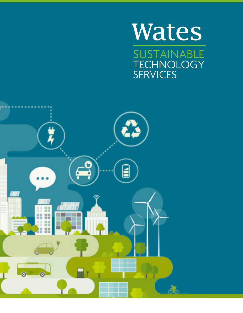# **Wates SUSTAINABLE** TECHNOLOGY

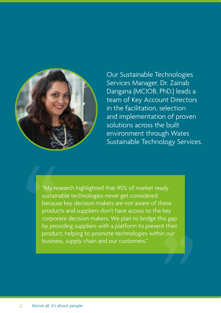

Our Sustainable Technologies Services Manager, Dr. Zainab Dangana (MCIOB, PhD.) leads a team of Key Account Directors in the facilitation, selection and implementation of proven solutions across the built environment through Wates Sustainable Technology Services.

"My research highlighted that 95% of market ready sustainable technologies never get considered because key decision makers are not aware of these products and suppliers don't have access to the key corporate decision makers. We plan to bridge this gap by providing suppliers with a platform to present their product, helping to promote technologies within our business, supply chain and our customers."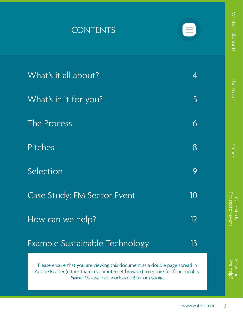| <b>CONTENTS</b>                                                                                                                                                                                                   |    | $^{\prime}$ hat's it all about? |
|-------------------------------------------------------------------------------------------------------------------------------------------------------------------------------------------------------------------|----|---------------------------------|
| What's it all about?                                                                                                                                                                                              | 4  |                                 |
| What's in it for you?                                                                                                                                                                                             | 5  | The Process                     |
| The Process                                                                                                                                                                                                       | 6  |                                 |
| <b>Pitches</b>                                                                                                                                                                                                    | 8  | Pitches                         |
| Selection                                                                                                                                                                                                         | 9  |                                 |
| Case Study: FM Sector Event                                                                                                                                                                                       | 10 |                                 |
| How can we help?                                                                                                                                                                                                  | 12 | FM sector even:<br>Case Stud    |
| Example Sustainable Technology                                                                                                                                                                                    | 13 |                                 |
| Please ensure that you are viewing this document as a double page spread in<br>Adobe Reader (rather than in your internet browser) to ensure full functionality.<br>Note: This will not work on tablet or mobile. |    |                                 |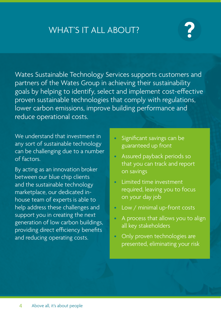# <span id="page-3-0"></span>WHAT'S IT ALL ABOUT?

#### **Ruick Return on Investment on Investment** and Indianace Productivity & Health Andre

 $\parallel$  uptront cost and unknown payback / return on investment. -<br>A key barrier to the slow uptake of innovative solutions is higher A key barrier to the slow uplake of inflovative solutions is right approfit cost and driknown payback / Teturn of inves  $\overline{\mathsf{u}}$  upfront cost and unknown payback / return on investment.

partners of the Wates Group in achieving their sustainability

goals by helping to identify, select and implement cost-effective cost-effective cost-effective cost-effective proven sustainable technologies that comply with regulations, lower carbon emissions, improve building performance and

wates Sustainable technologies services can help your orga  $\parallel$  identify simple cost effective tec  $\overline{a}$  than 3 years. rogies with a payback of less Wates bustaniable technologies services can help your organisation people by the 2.5 billion people by the 2.5<br>People by the 2.5 billion people by the 2.5 billion people by the 2.5 billion people by the 2.5 billion people identify simple cost effective technologies with a payback of less standards, the energy usage of our buildings is set to rise sharply, which is set to rise sharply, the energy of  $\alpha$ ensuring low energy design and reducing a building's operational carbon emissions. For example: There is a potential to increase asset value by 8-10% increase in asset wates Sustainable technologies services can help your organisation

**Example:** By fitting an adapter to your taps, this c  $\overline{\phantom{a}}$  rate by 2.5 litres per minute  $\blacksquare$  return on investment in less rate by 2.5 litres per minute, saving water and energy and providing a required, leaving you to focus you to focus your product to focus you to focus your product to focus you to focus you to focus you to focus you to focus you to focus you to focus you to focus you to focus you to focus you reductive technologies technologies that can help to reduce the can help to reduce the can help to reduce the c<br>Internal assessment in the can help to reduce the can help to reduce the can help to reduce the can have the c return on investment in less than four months. **Example:** By fitting an adapter to your taps, this can reduce the flow

marketplace, our dedicated in- $\begin{bmatrix} 1 & 0 & a & b & c \ b & -a & b & c & d \end{bmatrix}$  is able to cost  $\overline{a}$  Total annual savings = £5,565. Total capital installation cost for 210 basins = £1,575.<br>Tatal annual sovings profects Total capital installation cost for 210 basins = £1,575.  $\hskip20pt \text{[J.]}$ 

2006 5,933 1,780

**Example: The average UK house** to all and voluntary and voluntary legislation.<br>That is the accuracy and voluntary legislation. The article is the attention of the attention. The attention of energy saving additive can buildings,  $\frac{1}{2}$  = 1575 ÷ 5565 = 0.28 yr payback for your building(s), that can improve health, wellbeing and productivity for your employees by creating a conducive working Capital Standard Allowance Enhanced Capital Allowance Payback = Total project cost ÷ Total annual retrofit savings

Payback in months  $0.28 \times 12 = 3$ and reducing operating costs. • Only proven technologies are  $\emph{Payback in months } 0.28 \times 12 = 3.4 \emph{ months}$  $\alpha$  saving of  $\alpha$  satisfies to a saving of  $\alpha$  saving  $\alpha$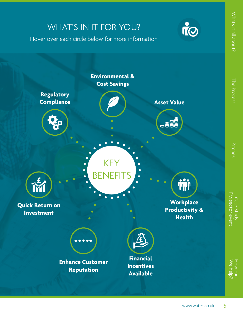<span id="page-4-0"></span>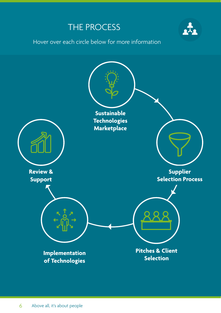## THE PROCESS

Hover over each circle below for more information

<span id="page-5-0"></span>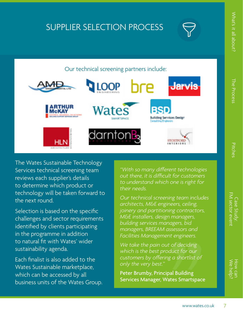# SUPPLIER SELECTION PROCESS



#### ementation of Technologies. **Implementation of Technologies a minimization our customer and our customer and our customer and our**

**Sustainable Technologies Marketplace Sustainable Sustainable Sustainable Sustainable Sustainable Sustainable S** ralist suppliers are supported by viates sustainable Technology Services in piloting their technology on selected customer sites to ensure that it delivers the expected levels small selection of customers and key partners and key partners of the Wates and key partners of the Wates and <br>Here we have the Wates and key partners of the Wates and Key partners of the Wates and Key partners of the Wat  $\tau$  is the judging parameter of  $\tau$  in the internal upcoming  $\tau$ of return on investment. The opportunity to work in partnership with with with with with with  $\alpha$ • Finalist suppliers are supported by Wates Sustainable

and the Water Supplies of the Water Supplies of the Supplies of the Supplies of the Supplies of the Supplies of the Supplies of the Supplies of the Supplies of the Supplies of the Supplies of the Supplies of the Supplies o Services technical screening team *"With so many different technologies*  Services database. This is promoted in the Wates Group's bids and to its existing clients and has already culminated in a number of key tenders, trials and implementation of our technology. **EXECUTE:** Being able to promote our innovation to their network of contacts is a huge opportunity so this is a valuable partnership." nalist and included on the Wates Sustainable Technology<br>They are also invited to take part of part in the part of the part in the part in the part in the part in the alcyan Water Conditioners was delighted to be selecte $\epsilon$ • Finalists are added to the Wates Sustainable Technologies Market and provided in bids with the product of the process of the product of the product of the p  $rac{1}{2}$  and  $rac{1}{2}$  in accordance with the individual building  $rac{1}{2}$  in accordance with the individual building  $rac{1}{2}$  in a set of the individual building  $rac{1}{2}$  in a set of the individual building  $rac{1}{2}$  in a "Halcyan Water Conditioners was delighted to be selected as a finalist and included on the Wates Sustainable Technology and to its existing circhts and has aireaux cummiated in a nume clients related by the final and implementation of our technology tenny able to promote our impovation to their network or contacts is a huge opportunity so this is a valuable partnership."<br>. of key tenders, trials and implementation of our technology. Being able to promote our innovation to their network of

#### challenges and sector requirements and sector requirements and finding a route to market is always difficult and finding a route to market is always difficult and finding a route to market is always difficult and finding **dentified by continuum assessors and** *FREEAM* and *C* and *Head of Sales, Halcyan Water Conditioners* in the programme in addition antha mant, UK (Europe) and products to isolate the ideas and products to is even and products to is even and requirements, which we are keen to trial and implement on our real impact in reaching their energy reduction targets." **Samantha Mant, UK (Europe)** Head **Frank Berry Head of Sales, Halcyan Water Conditioners**

to natural fit with Wates' wider

Each finalist is also added to the Wates Sustainable marketplace, which can be accessed by all

business units of the Wates Group. The Wates Group of the Wates Group.

sustainability agenda.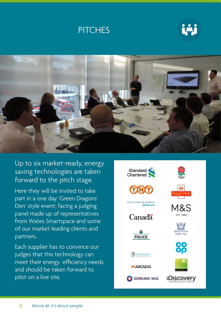



<span id="page-7-0"></span>

Up to six market-ready, energy saving technologies are taken forward to the pitch stage.

Here they will be invited to take part in a one day 'Green Dragons' Den' style event, facing a judging panel made up of representatives from Wates Smartspace and some of our market-leading clients and partners.

Each supplier has to convince our judges that this technology can meet their energy efficiency needs and should be taken forward to pilot on a live site.

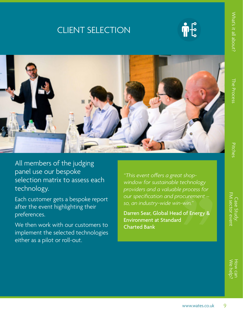## <span id="page-8-0"></span>CLIENT SELECTION



[Case Study: FM sector event](#page-9-0) [We help?](#page-11-0) How can-M sector even ase Stud

All members of the judging panel use our bespoke selection matrix to assess each technology.

Each customer gets a bespoke report after the event highlighting their preferences.

We then work with our customers to implement the selected technologies either as a pilot or roll-out.

*"This event offers a great shopwindow for sustainable technology providers and a valuable process for our specification and procurement – so, an industry-wide win-win."*

Darren Sear, Global Head of Energy & Environment at Standard Charted Bank

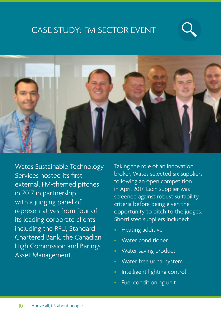## <span id="page-9-0"></span>CASE STUDY: FM SECTOR EVENT





Wates Sustainable Technology Services hosted its first external, FM-themed pitches in 2017 in partnership with a judging panel of representatives from four of its leading corporate clients including the RFU, Standard Chartered Bank, the Canadian High Commission and Barings Asset Management.

Taking the role of an innovation broker, Wates selected six suppliers following an open competition in April 2017. Each supplier was screened against robust suitability criteria before being given the opportunity to pitch to the judges. Shortlisted suppliers included:

- Heating additive
- Water conditioner
- Water saving product
- Water free urinal system
- Intelligent lighting control
- Fuel conditioning unit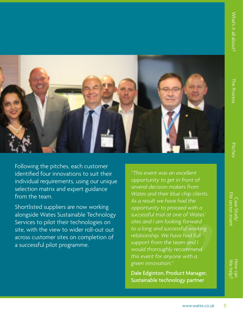[Case Study: FM sector event](#page-9-0) [We help?](#page-11-0) How can-M sector even Case Study



Following the pitches, each customer identified four innovations to suit their individual requirements, using our unique selection matrix and expert guidance from the team.

Shortlisted suppliers are now working alongside Wates Sustainable Technology Services to pilot their technologies on site, with the view to wider roll-out out across customer sites on completion of a successful pilot programme.

*"This event was an excellent opportunity to get in front of several decision makers from Wates and their blue chip clients. As a result we have had the opportunity to proceed with a successful trial at one of Wates' sites and I am looking forward to a long and successful working relationship. We have had full support from the team and I would thoroughly recommend this event for anyone with a green innovation."*

Dale Edginton, Product Manager, Sustainable technology partner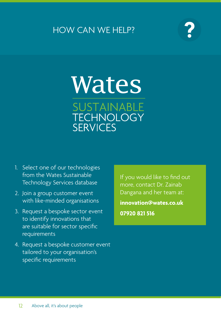### <span id="page-11-0"></span>HOW CAN WE HELP?



# **Wates** SUSTAINABLE **TECHNOLOGY SERVICES**

- 1. Select one of our technologies from the Wates Sustainable Technology Services database
- 2. Join a group customer event with like-minded organisations
- 3. Request a bespoke sector event to identify innovations that are suitable for sector specific requirements
- 4. Request a bespoke customer event tailored to your organisation's specific requirements

If you would like to find out more, contact Dr. Zainab Dangana and her team at:

**innovation@wates.co.uk 07920 821 516**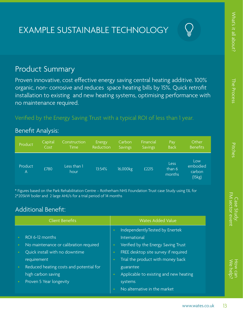[Case Study: FM sector event](#page-9-0) [We help?](#page-11-0) How can

FM sector ever Case Stuc

#### <span id="page-12-0"></span>Product Summary

Proven innovative, cost effective energy saving central heating additive. 100% organic, non- corrosive and reduces space heating bills by 15%. Quick retrofit installation to existing and new heating systems, optimising performance with no maintenance required.

#### Verified by the Energy Saving Trust with a typical ROI of less than 1 year.

#### Benefit Analysis:

| Product                   | Capital | Construction        | Energy    | Carbon         | Financial      | Pay                      | Other                               |
|---------------------------|---------|---------------------|-----------|----------------|----------------|--------------------------|-------------------------------------|
|                           | Cost    | <b>Time</b>         | Reduction | <b>Savings</b> | <b>Savings</b> | <b>Back</b>              | <b>Benefits</b>                     |
| Product<br>$\overline{A}$ | £780    | Less than 1<br>hour | 13:54%    | 16,000kg       | £2215          | Less<br>than 6<br>months | Low<br>embodied<br>carbon<br>(15kg) |

\* Figures based on the Park Rehabilitation Centre – Rotherham NHS Foundation Trust case Study using 13L for 2\*205kW boiler and 2 large AHU's for a trial period of 14 months

#### Additional Benefit:

| <b>Client Benefits</b>                  | <b>Wates Added Value</b>                            |  |  |
|-----------------------------------------|-----------------------------------------------------|--|--|
|                                         | IndependentlyTested by Enertek<br>$\bullet$         |  |  |
| ROI 6-12 months                         | International                                       |  |  |
| No maintenance or calibration required  | Verified by the Energy Saving Trust                 |  |  |
| Quick install with no downtime          | FREE desktop site survey if required<br>$\bullet$   |  |  |
| requirement                             | Trial the product with money back<br>$\bullet$      |  |  |
| Reduced heating costs and potential for | guarantee                                           |  |  |
| high carbon saving                      | Applicable to existing and new heating<br>$\bullet$ |  |  |
| Proven 5 Year longevity                 | systems                                             |  |  |
|                                         | No alternative in the market                        |  |  |